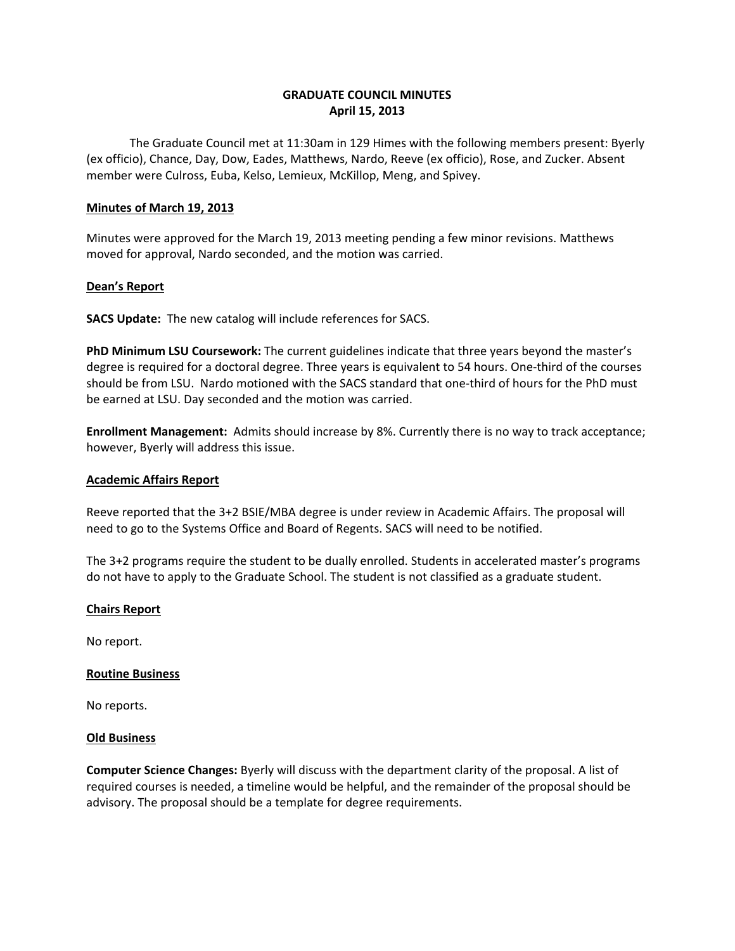# **GRADUATE COUNCIL MINUTES April 15, 2013**

 The Graduate Council met at 11:30am in 129 Himes with the following members present: Byerly (ex officio), Chance, Day, Dow, Eades, Matthews, Nardo, Reeve (ex officio), Rose, and Zucker. Absent member were Culross, Euba, Kelso, Lemieux, McKillop, Meng, and Spivey.

## **Minutes of March 19, 2013**

Minutes were approved for the March 19, 2013 meeting pending a few minor revisions. Matthews moved for approval, Nardo seconded, and the motion was carried.

# **Dean's Report**

**SACS Update:** The new catalog will include references for SACS.

**PhD Minimum LSU Coursework:** The current guidelines indicate that three years beyond the master's degree is required for a doctoral degree. Three years is equivalent to 54 hours. One-third of the courses should be from LSU. Nardo motioned with the SACS standard that one-third of hours for the PhD must be earned at LSU. Day seconded and the motion was carried.

**Enrollment Management:** Admits should increase by 8%. Currently there is no way to track acceptance; however, Byerly will address this issue.

## **Academic Affairs Report**

 Reeve reported that the 3+2 BSIE/MBA degree is under review in Academic Affairs. The proposal will need to go to the Systems Office and Board of Regents. SACS will need to be notified.

The 3+2 programs require the student to be dually enrolled. Students in accelerated master's programs do not have to apply to the Graduate School. The student is not classified as a graduate student.

#### **Chairs Report**

No report.

#### **Routine Business**

No reports.

#### **Old Business**

**Computer Science Changes:** Byerly will discuss with the department clarity of the proposal. A list of required courses is needed, a timeline would be helpful, and the remainder of the proposal should be advisory. The proposal should be a template for degree requirements.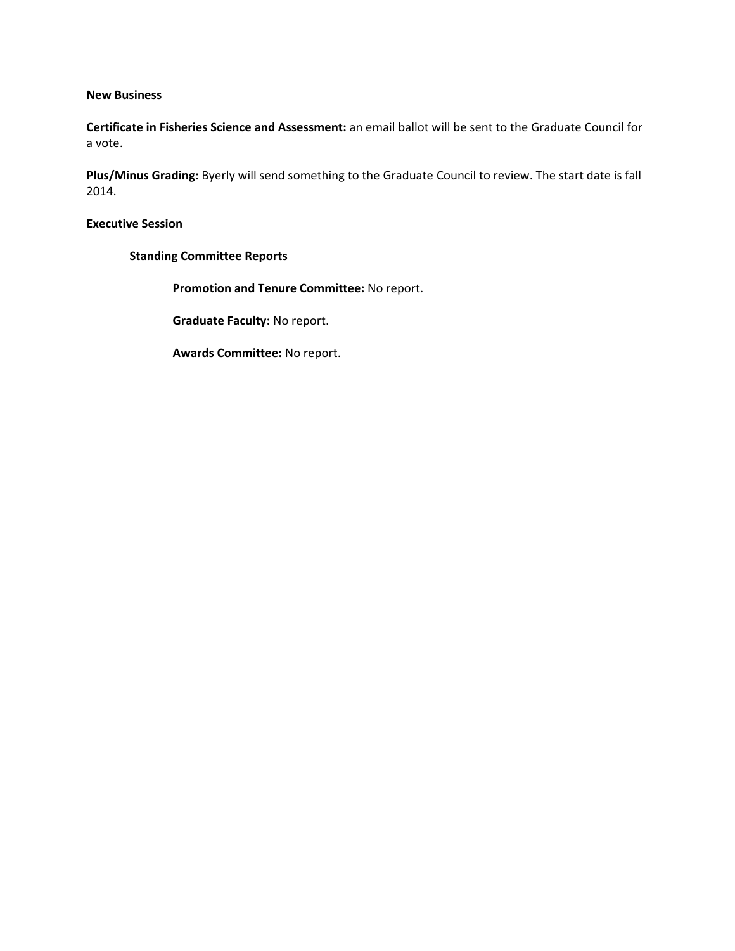# **New Business**

**Certificate in Fisheries Science and Assessment:** an email ballot will be sent to the Graduate Council for a vote.

**Plus/Minus Grading:** Byerly will send something to the Graduate Council to review. The start date is fall 2014.

# **Executive Session**

# **Standing Committee Reports**

**Promotion and Tenure Committee:** No report.

**Graduate Faculty:** No report.

**Awards Committee:** No report.